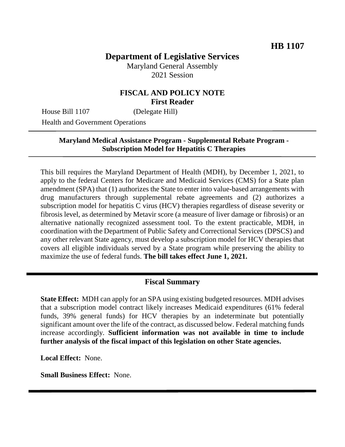# **Department of Legislative Services**

Maryland General Assembly 2021 Session

## **FISCAL AND POLICY NOTE First Reader**

House Bill 1107 (Delegate Hill)

Health and Government Operations

#### **Maryland Medical Assistance Program - Supplemental Rebate Program - Subscription Model for Hepatitis C Therapies**

This bill requires the Maryland Department of Health (MDH), by December 1, 2021, to apply to the federal Centers for Medicare and Medicaid Services (CMS) for a State plan amendment (SPA) that (1) authorizes the State to enter into value-based arrangements with drug manufacturers through supplemental rebate agreements and (2) authorizes a subscription model for hepatitis C virus (HCV) therapies regardless of disease severity or fibrosis level, as determined by Metavir score (a measure of liver damage or fibrosis) or an alternative nationally recognized assessment tool. To the extent practicable, MDH, in coordination with the Department of Public Safety and Correctional Services (DPSCS) and any other relevant State agency, must develop a subscription model for HCV therapies that covers all eligible individuals served by a State program while preserving the ability to maximize the use of federal funds. **The bill takes effect June 1, 2021.**

#### **Fiscal Summary**

**State Effect:** MDH can apply for an SPA using existing budgeted resources. MDH advises that a subscription model contract likely increases Medicaid expenditures (61% federal funds, 39% general funds) for HCV therapies by an indeterminate but potentially significant amount over the life of the contract, as discussed below. Federal matching funds increase accordingly. **Sufficient information was not available in time to include further analysis of the fiscal impact of this legislation on other State agencies.**

**Local Effect:** None.

**Small Business Effect:** None.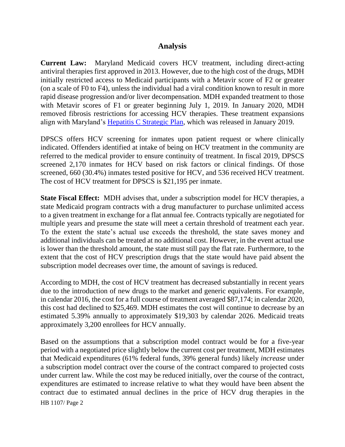#### **Analysis**

**Current Law:** Maryland Medicaid covers HCV treatment, including direct-acting antiviral therapies first approved in 2013. However, due to the high cost of the drugs, MDH initially restricted access to Medicaid participants with a Metavir score of F2 or greater (on a scale of F0 to F4), unless the individual had a viral condition known to result in more rapid disease progression and/or liver decompensation. MDH expanded treatment to those with Metavir scores of F1 or greater beginning July 1, 2019. In January 2020, MDH removed fibrosis restrictions for accessing HCV therapies. These treatment expansions align with Maryland's [Hepatitis C Strategic Plan,](https://mmcp.health.maryland.gov/Documents/JCRs/2018/hep-cJCRfinal1-18.pdf) which was released in January 2019.

DPSCS offers HCV screening for inmates upon patient request or where clinically indicated. Offenders identified at intake of being on HCV treatment in the community are referred to the medical provider to ensure continuity of treatment. In fiscal 2019, DPSCS screened 2,170 inmates for HCV based on risk factors or clinical findings. Of those screened, 660 (30.4%) inmates tested positive for HCV, and 536 received HCV treatment. The cost of HCV treatment for DPSCS is \$21,195 per inmate.

**State Fiscal Effect:** MDH advises that, under a subscription model for HCV therapies, a state Medicaid program contracts with a drug manufacturer to purchase unlimited access to a given treatment in exchange for a flat annual fee. Contracts typically are negotiated for multiple years and presume the state will meet a certain threshold of treatment each year. To the extent the state's actual use exceeds the threshold, the state saves money and additional individuals can be treated at no additional cost. However, in the event actual use is lower than the threshold amount, the state must still pay the flat rate. Furthermore, to the extent that the cost of HCV prescription drugs that the state would have paid absent the subscription model decreases over time, the amount of savings is reduced.

According to MDH, the cost of HCV treatment has decreased substantially in recent years due to the introduction of new drugs to the market and generic equivalents. For example, in calendar 2016, the cost for a full course of treatment averaged \$87,174; in calendar 2020, this cost had declined to \$25,469. MDH estimates the cost will continue to decrease by an estimated 5.39% annually to approximately \$19,303 by calendar 2026. Medicaid treats approximately 3,200 enrollees for HCV annually.

HB 1107/ Page 2 Based on the assumptions that a subscription model contract would be for a five-year period with a negotiated price slightly below the current cost per treatment, MDH estimates that Medicaid expenditures (61% federal funds, 39% general funds) likely *increase* under a subscription model contract over the course of the contract compared to projected costs under current law. While the cost may be reduced initially, over the course of the contract, expenditures are estimated to increase relative to what they would have been absent the contract due to estimated annual declines in the price of HCV drug therapies in the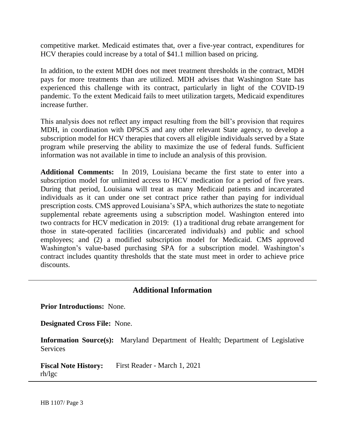competitive market. Medicaid estimates that, over a five-year contract, expenditures for HCV therapies could increase by a total of \$41.1 million based on pricing.

In addition, to the extent MDH does not meet treatment thresholds in the contract, MDH pays for more treatments than are utilized. MDH advises that Washington State has experienced this challenge with its contract, particularly in light of the COVID-19 pandemic. To the extent Medicaid fails to meet utilization targets, Medicaid expenditures increase further.

This analysis does not reflect any impact resulting from the bill's provision that requires MDH, in coordination with DPSCS and any other relevant State agency, to develop a subscription model for HCV therapies that covers all eligible individuals served by a State program while preserving the ability to maximize the use of federal funds. Sufficient information was not available in time to include an analysis of this provision.

**Additional Comments:** In 2019, Louisiana became the first state to enter into a subscription model for unlimited access to HCV medication for a period of five years. During that period, Louisiana will treat as many Medicaid patients and incarcerated individuals as it can under one set contract price rather than paying for individual prescription costs. CMS approved Louisiana's SPA, which authorizes the state to negotiate supplemental rebate agreements using a subscription model. Washington entered into two contracts for HCV medication in 2019: (1) a traditional drug rebate arrangement for those in state-operated facilities (incarcerated individuals) and public and school employees; and (2) a modified subscription model for Medicaid. CMS approved Washington's value-based purchasing SPA for a subscription model. Washington's contract includes quantity thresholds that the state must meet in order to achieve price discounts.

## **Additional Information**

**Prior Introductions:** None.

**Designated Cross File:** None.

**Information Source(s):** Maryland Department of Health; Department of Legislative **Services** 

**Fiscal Note History:** First Reader - March 1, 2021 rh/lgc